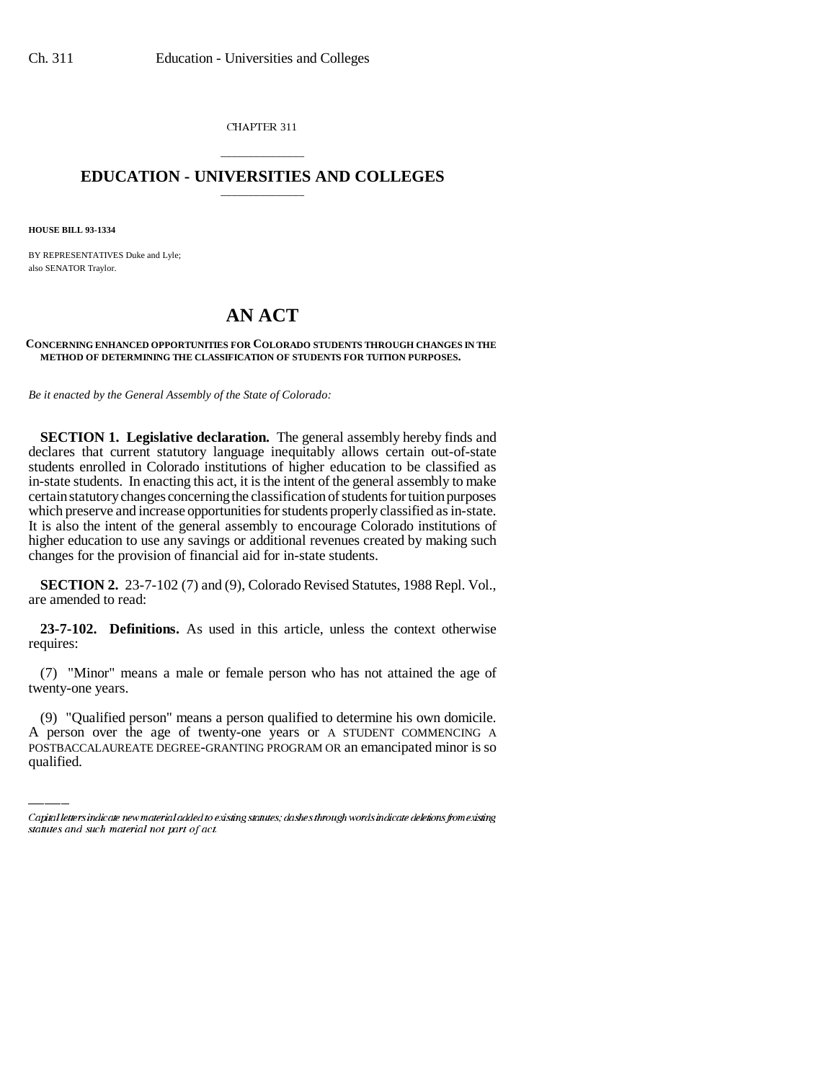CHAPTER 311

## \_\_\_\_\_\_\_\_\_\_\_\_\_\_\_ **EDUCATION - UNIVERSITIES AND COLLEGES** \_\_\_\_\_\_\_\_\_\_\_\_\_\_\_

**HOUSE BILL 93-1334**

BY REPRESENTATIVES Duke and Lyle; also SENATOR Traylor.

## **AN ACT**

## **CONCERNING ENHANCED OPPORTUNITIES FOR COLORADO STUDENTS THROUGH CHANGES IN THE METHOD OF DETERMINING THE CLASSIFICATION OF STUDENTS FOR TUITION PURPOSES.**

*Be it enacted by the General Assembly of the State of Colorado:*

**SECTION 1. Legislative declaration.** The general assembly hereby finds and declares that current statutory language inequitably allows certain out-of-state students enrolled in Colorado institutions of higher education to be classified as in-state students. In enacting this act, it is the intent of the general assembly to make certain statutory changes concerning the classification of students for tuition purposes which preserve and increase opportunities for students properly classified as in-state. It is also the intent of the general assembly to encourage Colorado institutions of higher education to use any savings or additional revenues created by making such changes for the provision of financial aid for in-state students.

**SECTION 2.** 23-7-102 (7) and (9), Colorado Revised Statutes, 1988 Repl. Vol., are amended to read:

**23-7-102. Definitions.** As used in this article, unless the context otherwise requires:

 $\overline{\phantom{a}}$ (7) "Minor" means a male or female person who has not attained the age of twenty-one years.

(9) "Qualified person" means a person qualified to determine his own domicile. A person over the age of twenty-one years or A STUDENT COMMENCING A POSTBACCALAUREATE DEGREE-GRANTING PROGRAM OR an emancipated minor is so qualified.

Capital letters indicate new material added to existing statutes; dashes through words indicate deletions from existing statutes and such material not part of act.